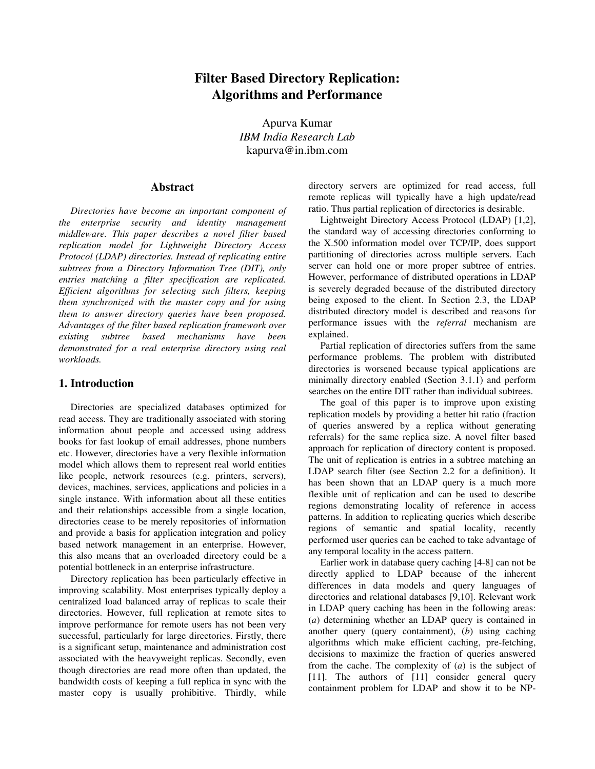# **Filter Based Directory Replication: Algorithms and Performance**

Apurva Kumar *IBM India Research Lab* kapurva@in.ibm.com

## **Abstract**

*Directories have become an important component of the enterprise security and identity management middleware. This paper describes a novel filter based replication model for Lightweight Directory Access Protocol (LDAP) directories. Instead of replicating entire subtrees from a Directory Information Tree (DIT), only entries matching a filter specification are replicated. Efficient algorithms for selecting such filters, keeping them synchronized with the master copy and for using them to answer directory queries have been proposed. Advantages of the filter based replication framework over existing subtree based mechanisms have been demonstrated for a real enterprise directory using real workloads.*

## **1. Introduction**

Directories are specialized databases optimized for read access. They are traditionally associated with storing information about people and accessed using address books for fast lookup of email addresses, phone numbers etc. However, directories have a very flexible information model which allows them to represent real world entities like people, network resources (e.g. printers, servers), devices, machines, services, applications and policies in a single instance. With information about all these entities and their relationships accessible from a single location, directories cease to be merely repositories of information and provide a basis for application integration and policy based network management in an enterprise. However, this also means that an overloaded directory could be a potential bottleneck in an enterprise infrastructure.

Directory replication has been particularly effective in improving scalability. Most enterprises typically deploy a centralized load balanced array of replicas to scale their directories. However, full replication at remote sites to improve performance for remote users has not been very successful, particularly for large directories. Firstly, there is a significant setup, maintenance and administration cost associated with the heavyweight replicas. Secondly, even though directories are read more often than updated, the bandwidth costs of keeping a full replica in sync with the master copy is usually prohibitive. Thirdly, while

directory servers are optimized for read access, full remote replicas will typically have a high update/read ratio. Thus partial replication of directories is desirable.

Lightweight Directory Access Protocol (LDAP) [1,2], the standard way of accessing directories conforming to the X.500 information model over TCP/IP, does support partitioning of directories across multiple servers. Each server can hold one or more proper subtree of entries. However, performance of distributed operations in LDAP is severely degraded because of the distributed directory being exposed to the client. In Section 2.3, the LDAP distributed directory model is described and reasons for performance issues with the *referral* mechanism are explained.

Partial replication of directories suffers from the same performance problems. The problem with distributed directories is worsened because typical applications are minimally directory enabled (Section 3.1.1) and perform searches on the entire DIT rather than individual subtrees.

The goal of this paper is to improve upon existing replication models by providing a better hit ratio (fraction of queries answered by a replica without generating referrals) for the same replica size. A novel filter based approach for replication of directory content is proposed. The unit of replication is entries in a subtree matching an LDAP search filter (see Section 2.2 for a definition). It has been shown that an LDAP query is a much more flexible unit of replication and can be used to describe regions demonstrating locality of reference in access patterns. In addition to replicating queries which describe regions of semantic and spatial locality, recently performed user queries can be cached to take advantage of any temporal locality in the access pattern.

Earlier work in database query caching [4-8] can not be directly applied to LDAP because of the inherent differences in data models and query languages of directories and relational databases [9,10]. Relevant work in LDAP query caching has been in the following areas: (*a*) determining whether an LDAP query is contained in another query (query containment), (*b*) using caching algorithms which make efficient caching, pre-fetching, decisions to maximize the fraction of queries answered from the cache. The complexity of (*a*) is the subject of [11]. The authors of [11] consider general query containment problem for LDAP and show it to be NP-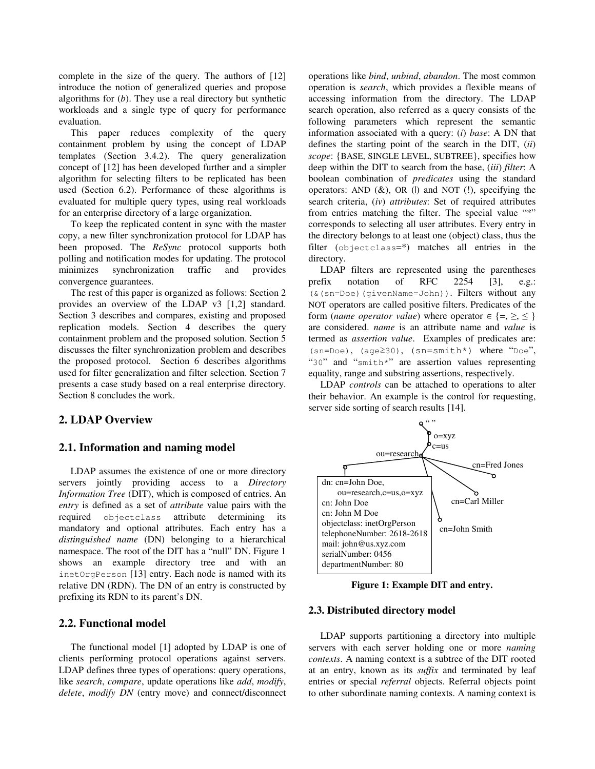complete in the size of the query. The authors of [12] introduce the notion of generalized queries and propose algorithms for (*b*). They use a real directory but synthetic workloads and a single type of query for performance evaluation.

This paper reduces complexity of the query containment problem by using the concept of LDAP templates (Section 3.4.2). The query generalization concept of [12] has been developed further and a simpler algorithm for selecting filters to be replicated has been used (Section 6.2). Performance of these algorithms is evaluated for multiple query types, using real workloads for an enterprise directory of a large organization.

To keep the replicated content in sync with the master copy, a new filter synchronization protocol for LDAP has been proposed. The *ReSync* protocol supports both polling and notification modes for updating. The protocol minimizes synchronization traffic and provides convergence guarantees.

The rest of this paper is organized as follows: Section 2 provides an overview of the LDAP v3 [1,2] standard. Section 3 describes and compares, existing and proposed replication models. Section 4 describes the query containment problem and the proposed solution. Section 5 discusses the filter synchronization problem and describes the proposed protocol. Section 6 describes algorithms used for filter generalization and filter selection. Section 7 presents a case study based on a real enterprise directory. Section 8 concludes the work.

## **2. LDAP Overview**

## **2.1. Information and naming model**

LDAP assumes the existence of one or more directory servers jointly providing access to a *Directory Information Tree* (DIT), which is composed of entries. An *entry* is defined as a set of *attribute* value pairs with the required objectclass attribute determining its mandatory and optional attributes. Each entry has a *distinguished name* (DN) belonging to a hierarchical namespace. The root of the DIT has a "null" DN. Figure 1 shows an example directory tree and with an inetOrgPerson [13] entry. Each node is named with its relative DN (RDN). The DN of an entry is constructed by prefixing its RDN to its parent's DN.

## **2.2. Functional model**

The functional model [1] adopted by LDAP is one of clients performing protocol operations against servers. LDAP defines three types of operations: query operations, like *search*, *compare*, update operations like *add*, *modify*, *delete*, *modify DN* (entry move) and connect/disconnect

operations like *bind*, *unbind*, *abandon*. The most common operation is *search*, which provides a flexible means of accessing information from the directory. The LDAP search operation, also referred as a query consists of the following parameters which represent the semantic information associated with a query: (*i*) *base*: A DN that defines the starting point of the search in the DIT, (*ii*) *scope*: {BASE, SINGLE LEVEL, SUBTREE}, specifies how deep within the DIT to search from the base, (*iii*) *filter*: A boolean combination of *predicates* using the standard operators: AND  $(\&)$ , OR  $(l)$  and NOT  $(l)$ , specifying the search criteria, (*iv*) *attributes*: Set of required attributes from entries matching the filter. The special value "\*" corresponds to selecting all user attributes. Every entry in the directory belongs to at least one (object) class, thus the filter (objectclass=\*) matches all entries in the directory.

LDAP filters are represented using the parentheses prefix notation of RFC 2254 [3], e.g.: (&(sn=Doe)(givenName=John)). Filters without any NOT operators are called positive filters. Predicates of the form (*name operator value*) where operator  $\in \{ =, \ge, \le \}$ are considered. *name* is an attribute name and *value* is termed as *assertion value*. Examples of predicates are: (sn=Doe), (age30), (sn=smith\*) where "Doe", "30" and "smith\*" are assertion values representing equality, range and substring assertions, respectively.

LDAP *controls* can be attached to operations to alter their behavior. An example is the control for requesting, server side sorting of search results [14].



**Figure 1: Example DIT and entry.**

#### **2.3. Distributed directory model**

LDAP supports partitioning a directory into multiple servers with each server holding one or more *naming contexts*. A naming context is a subtree of the DIT rooted at an entry, known as its *suffix* and terminated by leaf entries or special *referral* objects. Referral objects point to other subordinate naming contexts. A naming context is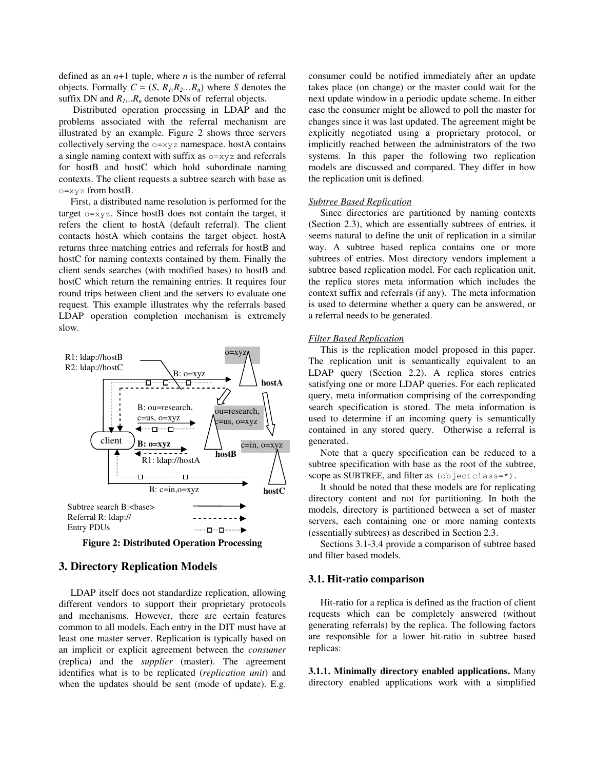defined as an *n*+1 tuple, where *n* is the number of referral objects. Formally  $C = (S, R<sub>1</sub>, R<sub>2</sub>, ... R<sub>n</sub>)$  where *S* denotes the suffix DN and  $R_1, R_n$  denote DNs of referral objects.

Distributed operation processing in LDAP and the problems associated with the referral mechanism are illustrated by an example. Figure 2 shows three servers collectively serving the  $o=xyz$  namespace. hostA contains a single naming context with suffix as o=xyz and referrals for hostB and hostC which hold subordinate naming contexts. The client requests a subtree search with base as  $o=xyz$  from hostB.

First, a distributed name resolution is performed for the target  $o=xyz$ . Since hostB does not contain the target, it refers the client to hostA (default referral). The client contacts hostA which contains the target object. hostA returns three matching entries and referrals for hostB and hostC for naming contexts contained by them. Finally the client sends searches (with modified bases) to hostB and hostC which return the remaining entries. It requires four round trips between client and the servers to evaluate one request. This example illustrates why the referrals based LDAP operation completion mechanism is extremely slow.



**Figure 2: Distributed Operation Processing**

## **3. Directory Replication Models**

LDAP itself does not standardize replication, allowing different vendors to support their proprietary protocols and mechanisms. However, there are certain features common to all models. Each entry in the DIT must have at least one master server. Replication is typically based on an implicit or explicit agreement between the *consumer* (replica) and the *supplier* (master). The agreement identifies what is to be replicated (*replication unit*) and when the updates should be sent (mode of update). E.g.

consumer could be notified immediately after an update takes place (on change) or the master could wait for the next update window in a periodic update scheme. In either case the consumer might be allowed to poll the master for changes since it was last updated. The agreement might be explicitly negotiated using a proprietary protocol, or implicitly reached between the administrators of the two systems. In this paper the following two replication models are discussed and compared. They differ in how the replication unit is defined.

#### *Subtree Based Replication*

Since directories are partitioned by naming contexts (Section 2.3), which are essentially subtrees of entries, it seems natural to define the unit of replication in a similar way. A subtree based replica contains one or more subtrees of entries. Most directory vendors implement a subtree based replication model. For each replication unit, the replica stores meta information which includes the context suffix and referrals (if any). The meta information is used to determine whether a query can be answered, or a referral needs to be generated.

#### *Filter Based Replication*

This is the replication model proposed in this paper. The replication unit is semantically equivalent to an LDAP query (Section 2.2). A replica stores entries satisfying one or more LDAP queries. For each replicated query, meta information comprising of the corresponding search specification is stored. The meta information is used to determine if an incoming query is semantically contained in any stored query. Otherwise a referral is generated.

Note that a query specification can be reduced to a subtree specification with base as the root of the subtree, scope as SUBTREE, and filter as (objectclass=\*).

It should be noted that these models are for replicating directory content and not for partitioning. In both the models, directory is partitioned between a set of master servers, each containing one or more naming contexts (essentially subtrees) as described in Section 2.3.

Sections 3.1-3.4 provide a comparison of subtree based and filter based models.

### **3.1. Hit-ratio comparison**

Hit-ratio for a replica is defined as the fraction of client requests which can be completely answered (without generating referrals) by the replica. The following factors are responsible for a lower hit-ratio in subtree based replicas:

**3.1.1. Minimally directory enabled applications.** Many directory enabled applications work with a simplified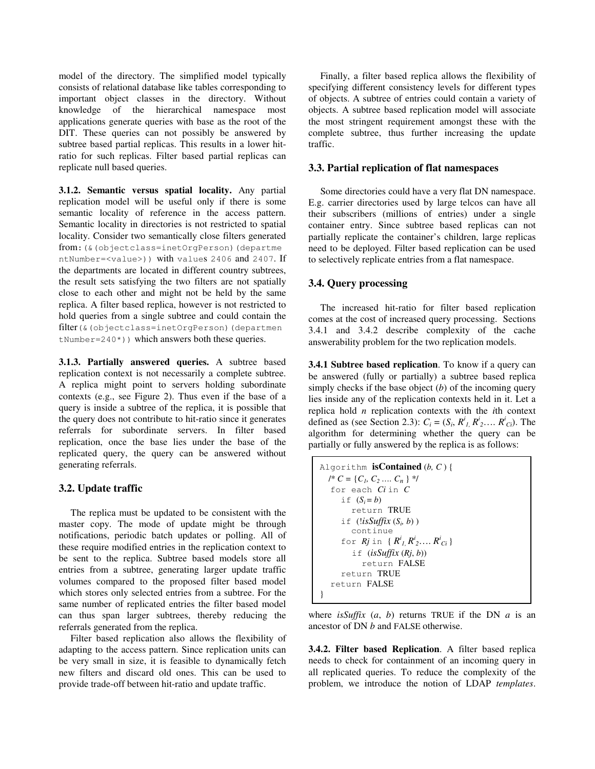model of the directory. The simplified model typically consists of relational database like tables corresponding to important object classes in the directory. Without knowledge of the hierarchical namespace most applications generate queries with base as the root of the DIT. These queries can not possibly be answered by subtree based partial replicas. This results in a lower hitratio for such replicas. Filter based partial replicas can replicate null based queries.

**3.1.2. Semantic versus spatial locality.** Any partial replication model will be useful only if there is some semantic locality of reference in the access pattern. Semantic locality in directories is not restricted to spatial locality. Consider two semantically close filters generated from:(&(objectclass=inetOrgPerson)(departme ntNumber=<value>)) with values 2406 and 2407. If the departments are located in different country subtrees, the result sets satisfying the two filters are not spatially close to each other and might not be held by the same replica. A filter based replica, however is not restricted to hold queries from a single subtree and could contain the filter(&(objectclass=inetOrgPerson)(departmen  $t$ Number=240\*)) which answers both these queries.

**3.1.3. Partially answered queries.** A subtree based replication context is not necessarily a complete subtree. A replica might point to servers holding subordinate contexts (e.g., see Figure 2). Thus even if the base of a query is inside a subtree of the replica, it is possible that the query does not contribute to hit-ratio since it generates referrals for subordinate servers. In filter based replication, once the base lies under the base of the replicated query, the query can be answered without generating referrals.

## **3.2. Update traffic**

The replica must be updated to be consistent with the master copy. The mode of update might be through notifications, periodic batch updates or polling. All of these require modified entries in the replication context to be sent to the replica. Subtree based models store all entries from a subtree, generating larger update traffic volumes compared to the proposed filter based model which stores only selected entries from a subtree. For the same number of replicated entries the filter based model can thus span larger subtrees, thereby reducing the referrals generated from the replica.

Filter based replication also allows the flexibility of adapting to the access pattern. Since replication units can be very small in size, it is feasible to dynamically fetch new filters and discard old ones. This can be used to provide trade-off between hit-ratio and update traffic.

Finally, a filter based replica allows the flexibility of specifying different consistency levels for different types of objects. A subtree of entries could contain a variety of objects. A subtree based replication model will associate the most stringent requirement amongst these with the complete subtree, thus further increasing the update traffic.

### **3.3. Partial replication of flat namespaces**

Some directories could have a very flat DN namespace. E.g. carrier directories used by large telcos can have all their subscribers (millions of entries) under a single container entry. Since subtree based replicas can not partially replicate the container's children, large replicas need to be deployed. Filter based replication can be used to selectively replicate entries from a flat namespace.

## **3.4. Query processing**

The increased hit-ratio for filter based replication comes at the cost of increased query processing. Sections 3.4.1 and 3.4.2 describe complexity of the cache answerability problem for the two replication models.

**3.4.1 Subtree based replication**. To know if a query can be answered (fully or partially) a subtree based replica simply checks if the base object (*b*) of the incoming query lies inside any of the replication contexts held in it. Let a replica hold *n* replication contexts with the *i*th context defined as (see Section 2.3):  $C_i = (S_i, R^i, R^i, R^i, \dots, R^i, C_i)$ . The algorithm for determining whether the query can be partially or fully answered by the replica is as follows:

Algorithm **isContinend** (b, C) {\n /\* 
$$
C = \{C_1, C_2 .... C_n\} \neq 0
$$
  
\n for each *Ci* in *C*  
\n if  $(S_i = b)$   
\n return TRUE  
\n if  $(!isSuffix(S_i, b))$   
\n continue  
\n for *Rj* in  $\{R^j, R^j, ... R^j, C_i\}$   
\n if  $(isSuffix(Rj, b))$   
\n return FALSE  
\nreturn TRUE  
\nreturn FALSE

where *isSuffix*  $(a, b)$  returns TRUE if the DN  $a$  is an ancestor of DN *b* and FALSE otherwise.

**3.4.2. Filter based Replication**. A filter based replica needs to check for containment of an incoming query in all replicated queries. To reduce the complexity of the problem, we introduce the notion of LDAP *templates*.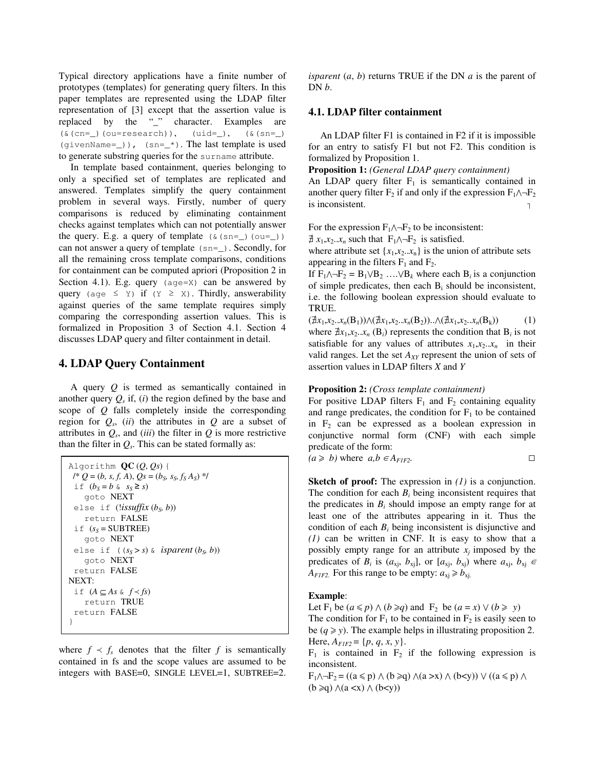Typical directory applications have a finite number of prototypes (templates) for generating query filters. In this paper templates are represented using the LDAP filter representation of [3] except that the assertion value is replaced by the "\_" character. Examples are  $(\& (cn=-)(ou=research)), (uid=), (& (sn=-))$ (givenName= $\_)$ ), (sn= $\_\star$ ). The last template is used to generate substring queries for the surname attribute.

In template based containment, queries belonging to only a specified set of templates are replicated and answered. Templates simplify the query containment problem in several ways. Firstly, number of query comparisons is reduced by eliminating containment checks against templates which can not potentially answer the query. E.g. a query of template  $(\& (sn=\)$  (ou=\_)) can not answer a query of template (sn=\_). Secondly, for all the remaining cross template comparisons, conditions for containment can be computed apriori (Proposition 2 in Section 4.1). E.g. query  $(age=X)$  can be answered by query (age  $\leq$  Y) if (Y  $\geq$  X). Thirdly, answerability against queries of the same template requires simply comparing the corresponding assertion values. This is formalized in Proposition 3 of Section 4.1. Section 4 discusses LDAP query and filter containment in detail.

## **4. LDAP Query Containment**

A query *Q* is termed as semantically contained in another query  $Q_s$  if, (*i*) the region defined by the base and scope of *Q* falls completely inside the corresponding region for  $Q_s$ , (*ii*) the attributes in  $Q$  are a subset of attributes in  $Q_s$ , and *(iii)* the filter in  $Q$  is more restrictive than the filter in  $Q_s$ . This can be stated formally as:

```
Algorithm QC (Q, Qs) {
 \mathcal{Q} = (b, s, f, A), Qs = (b_s, s_s, f_s A_s)^*if (b<sub>S</sub> = b \& s<sub>S</sub> \ge s)goto NEXT
 else if (!issuffix (b<sub>S</sub>, b))
    return FALSE
 if (s_S = SUBTREE)goto NEXT
 else if ((s_S > s) \land is parent (b_S, b))goto NEXT
 return FALSE
NEXT:
 if (A ⊆ As \& f \prec fs)return TRUE
 return FALSE
}
```
where  $f \prec f_s$  denotes that the filter *f* is semantically contained in fs and the scope values are assumed to be integers with BASE=0, SINGLE LEVEL=1, SUBTREE=2.

*isparent* (*a*, *b*) returns TRUE if the DN *a* is the parent of DN *b*.

## **4.1. LDAP filter containment**

An LDAP filter F1 is contained in F2 if it is impossible for an entry to satisfy F1 but not F2. This condition is formalized by Proposition 1.

**Proposition 1:** *(General LDAP query containment)*

An LDAP query filter  $F_1$  is semantically contained in another query filter  $F_2$  if and only if the expression  $F_1 \wedge \neg F_2$ is inconsistent.

For the expression  $F_1 \wedge \neg F_2$  to be inconsistent:

 $\nexists x_1, x_2 \dots x_n$  such that  $F_1 \wedge \neg F_2$  is satisfied.

where attribute set  $\{x_1, x_2, x_n\}$  is the union of attribute sets appearing in the filters  $F_1$  and  $F_2$ .

If  $F_1 \wedge \neg F_2 = B_1 \vee B_2 \dots \vee B_k$  where each  $B_i$  is a conjunction of simple predicates, then each  $B_i$  should be inconsistent, i.e. the following boolean expression should evaluate to TRUE.

 $(\nexists x_1, x_2 \ldots x_n(B_1)) \wedge (\nexists x_1, x_2 \ldots x_n(B_2)) \ldots \wedge (\nexists x_1, x_2 \ldots x_n(B_k))$  (1) where  $\exists x_1, x_2, \ldots, x_n$  (B<sub>i</sub>) represents the condition that B<sub>i</sub> is not satisfiable for any values of attributes  $x_1, x_2, x_n$  in their valid ranges. Let the set *AXY* represent the union of sets of assertion values in LDAP filters *X* and *Y*

## **Proposition 2:** *(Cross template containment)*

For positive LDAP filters  $F_1$  and  $F_2$  containing equality and range predicates, the condition for  $F_1$  to be contained in  $F_2$  can be expressed as a boolean expression in conjunctive normal form (CNF) with each simple predicate of the form:

 $(a \ge b)$  where  $a, b \in A$ <sup>*FIF2*</sup></sub>.

**Sketch of proof:** The expression in *(1)* is a conjunction. The condition for each  $B_i$  being inconsistent requires that the predicates in  $B_i$  should impose an empty range for at least one of the attributes appearing in it. Thus the condition of each  $B_i$  being inconsistent is disjunctive and *(1)* can be written in CNF. It is easy to show that a possibly empty range for an attribute  $x_j$  imposed by the predicates of  $B_i$  is  $(a_{xj}, b_{xj})$ , or  $[a_{xj}, b_{xj})$  where  $a_{xj}, b_{xj} \in$ *A*<sub>*F1F2*</sub>. For this range to be empty:  $a_{x} \ge b_{x}$ .

### **Example**:

Let  $F_1$  be  $(a \le p) \land (b \ge q)$  and  $F_2$  be  $(a = x) \lor (b \ge y)$ 

The condition for  $F_1$  to be contained in  $F_2$  is easily seen to be  $(q \ge y)$ . The example helps in illustrating proposition 2. Here,  $A_{FIF2} = \{p, q, x, y\}.$ 

 $F_1$  is contained in  $F_2$  if the following expression is inconsistent.

 $F_1 \wedge \neg F_2 = ((a \leq p) \wedge (b \geq q) \wedge (a \geq x) \wedge (b \leq y)) \vee ((a \leq p) \wedge (b \leq y))$  $(b \geq q) \land (a \lt x) \land (b \lt y)$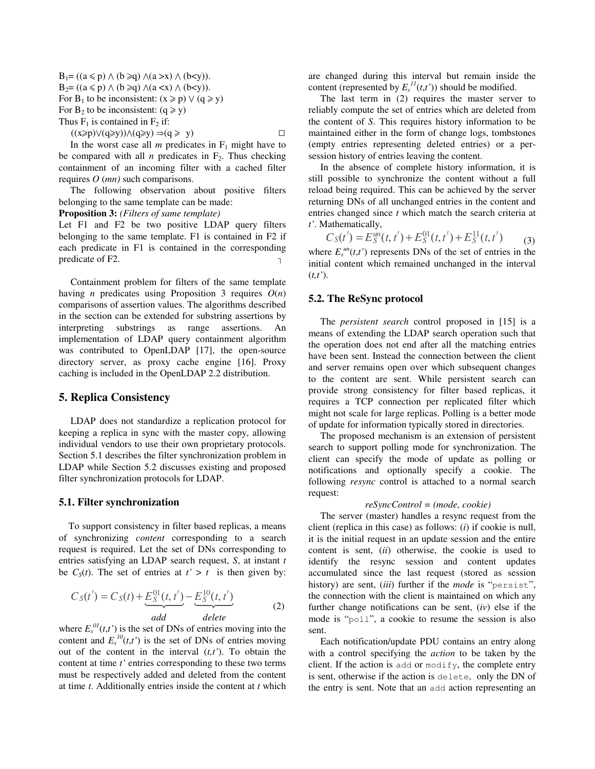$B_1 = ((a \leq p) \land (b \geq q) \land (a > x) \land (b < y)).$  $B_2 = ((a \leq p) \land (b \geq q) \land (a \leq x) \land (b \leq y)).$ For B<sub>1</sub> to be inconsistent:  $(x \ge p) \vee (q \ge y)$ For  $B_2$  to be inconsistent:  $(q \ge y)$ Thus  $F_1$  is contained in  $F_2$  if:

 $((x\geqslant p)\vee (q\geqslant y))\wedge (q\geqslant y)\Rightarrow (q\geqslant y)$ 

In the worst case all  $m$  predicates in  $F_1$  might have to be compared with all  $n$  predicates in  $F_2$ . Thus checking containment of an incoming filter with a cached filter requires *O* (*mn)* such comparisons.

The following observation about positive filters belonging to the same template can be made:

**Proposition 3:** *(Filters of same template)*

Let F1 and F2 be two positive LDAP query filters belonging to the same template. F1 is contained in F2 if each predicate in F1 is contained in the corresponding predicate of F2.

Containment problem for filters of the same template having *n* predicates using Proposition 3 requires *O*(*n*) comparisons of assertion values. The algorithms described in the section can be extended for substring assertions by interpreting substrings as range assertions. An implementation of LDAP query containment algorithm was contributed to OpenLDAP [17], the open-source directory server, as proxy cache engine [16]. Proxy caching is included in the OpenLDAP 2.2 distribution.

## **5. Replica Consistency**

LDAP does not standardize a replication protocol for keeping a replica in sync with the master copy, allowing individual vendors to use their own proprietary protocols. Section 5.1 describes the filter synchronization problem in LDAP while Section 5.2 discusses existing and proposed filter synchronization protocols for LDAP.

### **5.1. Filter synchronization**

To support consistency in filter based replicas, a means of synchronizing *content* corresponding to a search request is required. Let the set of DNs corresponding to entries satisfying an LDAP search request, *S*, at instant *t* be  $C_S(t)$ . The set of entries at  $t' > t$  is then given by:

$$
C_S(t') = C_S(t) + \underbrace{E_S^{01}(t, t')}_{add} - \underbrace{E_S^{10}(t, t')}_{delete}
$$
 (2)

where  $E_s^{0l}(t,t')$  is the set of DNs of entries moving into the content and  $E_s^{10}(t,t')$  is the set of DNs of entries moving out of the content in the interval  $(t, t')$ . To obtain the content at time *t'* entries corresponding to these two terms must be respectively added and deleted from the content at time *t*. Additionally entries inside the content at *t* which are changed during this interval but remain inside the content (represented by  $E_s^{11}(t,t')$ ) should be modified.

The last term in (2) requires the master server to reliably compute the set of entries which are deleted from the content of *S*. This requires history information to be maintained either in the form of change logs, tombstones (empty entries representing deleted entries) or a persession history of entries leaving the content.

In the absence of complete history information, it is still possible to synchronize the content without a full reload being required. This can be achieved by the server returning DNs of all unchanged entries in the content and entries changed since *t* which match the search criteria at *t'*. Mathematically,

$$
C_S(t') = E_S^{in}(t, t') + E_S^{01}(t, t') + E_S^{11}(t, t')
$$
  
where  $F^{in}(t, t')$  represents DNs of the set of entries in the

where  $E_s^{un}(t,t')$  represents DNs of the set of entries in the initial content which remained unchanged in the interval (*t,t'*).

## **5.2. The ReSync protocol**

The *persistent search* control proposed in [15] is a means of extending the LDAP search operation such that the operation does not end after all the matching entries have been sent. Instead the connection between the client and server remains open over which subsequent changes to the content are sent. While persistent search can provide strong consistency for filter based replicas, it requires a TCP connection per replicated filter which might not scale for large replicas. Polling is a better mode of update for information typically stored in directories.

The proposed mechanism is an extension of persistent search to support polling mode for synchronization. The client can specify the mode of update as polling or notifications and optionally specify a cookie. The following *resync* control is attached to a normal search request:

#### *reSyncControl = (mode, cookie)*

The server (master) handles a resync request from the client (replica in this case) as follows: (*i*) if cookie is null, it is the initial request in an update session and the entire content is sent, (*ii*) otherwise, the cookie is used to identify the resync session and content updates accumulated since the last request (stored as session history) are sent, (*iii*) further if the *mode* is "persist", the connection with the client is maintained on which any further change notifications can be sent, (*iv*) else if the mode is "poll", a cookie to resume the session is also sent.

Each notification/update PDU contains an entry along with a control specifying the *action* to be taken by the client. If the action is add or  $modify$ , the complete entry is sent, otherwise if the action is delete, only the DN of the entry is sent. Note that an add action representing an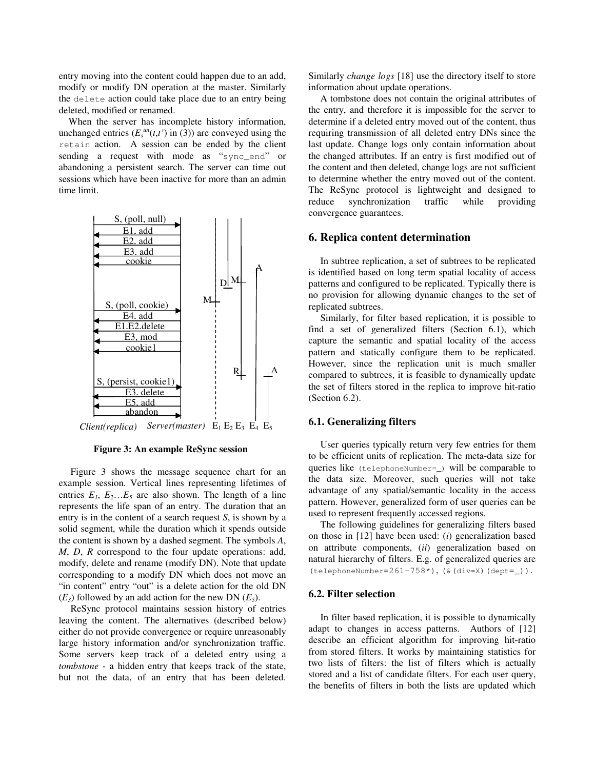entry moving into the content could happen due to an add, modify or modify DN operation at the master. Similarly the delete action could take place due to an entry being deleted, modified or renamed.

When the server has incomplete history information, unchanged entries  $(E_s^{un}(t,t'))$  in (3)) are conveyed using the retain action. A session can be ended by the client sending a request with mode as "sync\_end" or abandoning a persistent search. The server can time out sessions which have been inactive for more than an admin time limit.



**Figure 3: An example ReSync session**

Figure 3 shows the message sequence chart for an example session. Vertical lines representing lifetimes of entries  $E_1$ ,  $E_2$ ... $E_5$  are also shown. The length of a line represents the life span of an entry. The duration that an entry is in the content of a search request *S*, is shown by a solid segment, while the duration which it spends outside the content is shown by a dashed segment. The symbols *A*, *M*, *D*, *R* correspond to the four update operations: add, modify, delete and rename (modify DN). Note that update corresponding to a modify DN which does not move an "in content" entry "out" is a delete action for the old DN  $(E_3)$  followed by an add action for the new DN  $(E_5)$ .

ReSync protocol maintains session history of entries leaving the content. The alternatives (described below) either do not provide convergence or require unreasonably large history information and/or synchronization traffic. Some servers keep track of a deleted entry using a *tombstone* - a hidden entry that keeps track of the state, but not the data, of an entry that has been deleted.

Similarly *change logs* [18] use the directory itself to store information about update operations.

A tombstone does not contain the original attributes of the entry, and therefore it is impossible for the server to determine if a deleted entry moved out of the content, thus requiring transmission of all deleted entry DNs since the last update. Change logs only contain information about the changed attributes. If an entry is first modified out of the content and then deleted, change logs are not sufficient to determine whether the entry moved out of the content. The ReSync protocol is lightweight and designed to reduce synchronization traffic while providing convergence guarantees.

### **6. Replica content determination**

In subtree replication, a set of subtrees to be replicated is identified based on long term spatial locality of access patterns and configured to be replicated. Typically there is no provision for allowing dynamic changes to the set of replicated subtrees.

Similarly, for filter based replication, it is possible to find a set of generalized filters (Section 6.1), which capture the semantic and spatial locality of the access pattern and statically configure them to be replicated. However, since the replication unit is much smaller compared to subtrees, it is feasible to dynamically update the set of filters stored in the replica to improve hit-ratio (Section 6.2).

#### **6.1. Generalizing filters**

User queries typically return very few entries for them to be efficient units of replication. The meta-data size for queries like (telephoneNumber=\_) will be comparable to the data size. Moreover, such queries will not take advantage of any spatial/semantic locality in the access pattern. However, generalized form of user queries can be used to represent frequently accessed regions.

The following guidelines for generalizing filters based on those in [12] have been used: (*i*) generalization based on attribute components, (*ii*) generalization based on natural hierarchy of filters. E.g. of generalized queries are (telephoneNumber=261-758\*), (&(div=X)(dept=\_)).

#### **6.2. Filter selection**

In filter based replication, it is possible to dynamically adapt to changes in access patterns. Authors of [12] describe an efficient algorithm for improving hit-ratio from stored filters. It works by maintaining statistics for two lists of filters: the list of filters which is actually stored and a list of candidate filters. For each user query, the benefits of filters in both the lists are updated which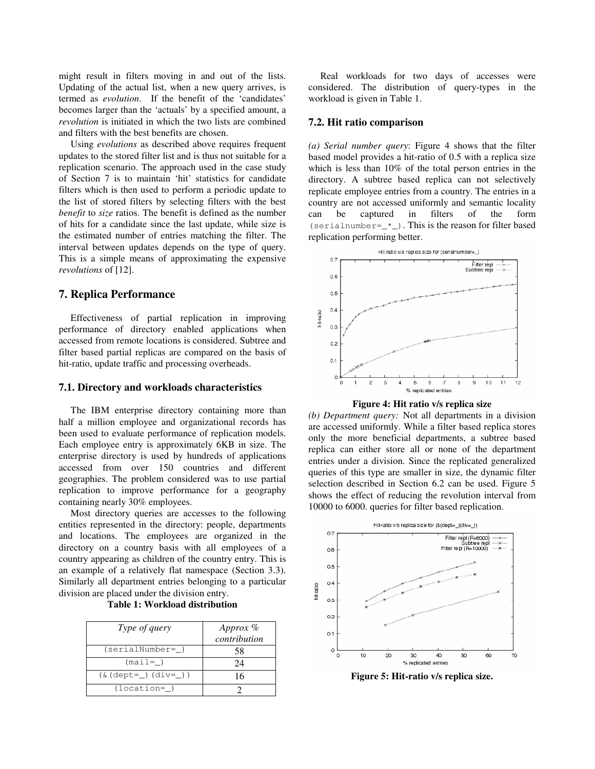might result in filters moving in and out of the lists. Updating of the actual list, when a new query arrives, is termed as *evolution*. If the benefit of the 'candidates' becomes larger than the 'actuals' by a specified amount, a *revolution* is initiated in which the two lists are combined and filters with the best benefits are chosen.

Using *evolutions* as described above requires frequent updates to the stored filter list and is thus not suitable for a replication scenario. The approach used in the case study of Section 7 is to maintain 'hit' statistics for candidate filters which is then used to perform a periodic update to the list of stored filters by selecting filters with the best *benefit* to *size* ratios. The benefit is defined as the number of hits for a candidate since the last update, while size is the estimated number of entries matching the filter. The interval between updates depends on the type of query. This is a simple means of approximating the expensive *revolutions* of [12].

## **7. Replica Performance**

Effectiveness of partial replication in improving performance of directory enabled applications when accessed from remote locations is considered. Subtree and filter based partial replicas are compared on the basis of hit-ratio, update traffic and processing overheads.

### **7.1. Directory and workloads characteristics**

The IBM enterprise directory containing more than half a million employee and organizational records has been used to evaluate performance of replication models. Each employee entry is approximately 6KB in size. The enterprise directory is used by hundreds of applications accessed from over 150 countries and different geographies. The problem considered was to use partial replication to improve performance for a geography containing nearly 30% employees.

Most directory queries are accesses to the following entities represented in the directory: people, departments and locations. The employees are organized in the directory on a country basis with all employees of a country appearing as children of the country entry. This is an example of a relatively flat namespace (Section 3.3). Similarly all department entries belonging to a particular division are placed under the division entry.

**Table 1: Workload distribution**

| Type of query                     | Approx %<br>contribution |
|-----------------------------------|--------------------------|
| (serialNumber=)                   | 58                       |
| $(max1= )$                        | 24                       |
| $(\&(\text{dept}=)(\text{div}=))$ | 16                       |
| $(location=$                      |                          |

Real workloads for two days of accesses were considered. The distribution of query-types in the workload is given in Table 1.

#### **7.2. Hit ratio comparison**

*(a) Serial number query*: Figure 4 shows that the filter based model provides a hit-ratio of 0.5 with a replica size which is less than 10% of the total person entries in the directory. A subtree based replica can not selectively replicate employee entries from a country. The entries in a country are not accessed uniformly and semantic locality can be captured in filters of the form (serialnumber= $\text{\_*})$ . This is the reason for filter based replication performing better.





*(b) Department query:* Not all departments in a division are accessed uniformly. While a filter based replica stores only the more beneficial departments, a subtree based replica can either store all or none of the department entries under a division. Since the replicated generalized queries of this type are smaller in size, the dynamic filter selection described in Section 6.2 can be used. Figure 5 shows the effect of reducing the revolution interval from 10000 to 6000. queries for filter based replication.



**Figure 5: Hit-ratio v/s replica size.**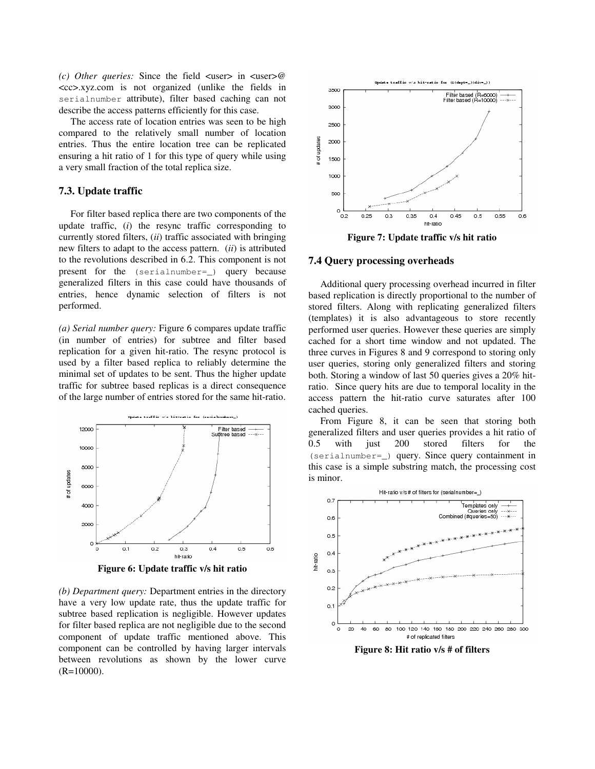*(c) Other queries:* Since the field <user> in <user>@ <cc>.xyz.com is not organized (unlike the fields in serialnumber attribute), filter based caching can not describe the access patterns efficiently for this case.

The access rate of location entries was seen to be high compared to the relatively small number of location entries. Thus the entire location tree can be replicated ensuring a hit ratio of 1 for this type of query while using a very small fraction of the total replica size.

## **7.3. Update traffic**

For filter based replica there are two components of the update traffic, (*i*) the resync traffic corresponding to currently stored filters, (*ii*) traffic associated with bringing new filters to adapt to the access pattern. (*ii*) is attributed to the revolutions described in 6.2. This component is not present for the (serialnumber=\_) query because generalized filters in this case could have thousands of entries, hence dynamic selection of filters is not performed.

*(a) Serial number query:* Figure 6 compares update traffic (in number of entries) for subtree and filter based replication for a given hit-ratio. The resync protocol is used by a filter based replica to reliably determine the minimal set of updates to be sent. Thus the higher update traffic for subtree based replicas is a direct consequence of the large number of entries stored for the same hit-ratio.



**Figure 6: Update traffic v/s hit ratio**

*(b) Department query:* Department entries in the directory have a very low update rate, thus the update traffic for subtree based replication is negligible. However updates for filter based replica are not negligible due to the second component of update traffic mentioned above. This component can be controlled by having larger intervals between revolutions as shown by the lower curve (R=10000).



**Figure 7: Update traffic v/s hit ratio**

### **7.4 Query processing overheads**

Additional query processing overhead incurred in filter based replication is directly proportional to the number of stored filters. Along with replicating generalized filters (templates) it is also advantageous to store recently performed user queries. However these queries are simply cached for a short time window and not updated. The three curves in Figures 8 and 9 correspond to storing only user queries, storing only generalized filters and storing both. Storing a window of last 50 queries gives a 20% hitratio. Since query hits are due to temporal locality in the access pattern the hit-ratio curve saturates after 100 cached queries.

From Figure 8, it can be seen that storing both generalized filters and user queries provides a hit ratio of 0.5 with just 200 stored filters for the (serialnumber=\_) query. Since query containment in this case is a simple substring match, the processing cost is minor.



**Figure 8: Hit ratio v/s # of filters**